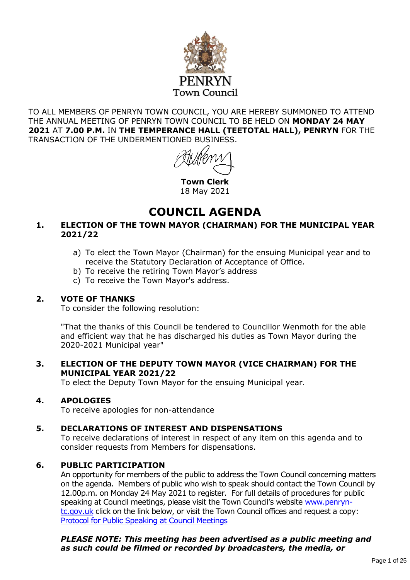

TO ALL MEMBERS OF PENRYN TOWN COUNCIL, YOU ARE HEREBY SUMMONED TO ATTEND THE ANNUAL MEETING OF PENRYN TOWN COUNCIL TO BE HELD ON **MONDAY 24 MAY 2021** AT **7.00 P.M.** IN **THE TEMPERANCE HALL (TEETOTAL HALL), PENRYN** FOR THE TRANSACTION OF THE UNDERMENTIONED BUSINESS.

**Town Clerk** 18 May 2021

# **COUNCIL AGENDA**

#### **1. ELECTION OF THE TOWN MAYOR (CHAIRMAN) FOR THE MUNICIPAL YEAR 2021/22**

- a) To elect the Town Mayor (Chairman) for the ensuing Municipal year and to receive the Statutory Declaration of Acceptance of Office.
- b) To receive the retiring Town Mayor's address
- c) To receive the Town Mayor's address.

#### **2. VOTE OF THANKS**

To consider the following resolution:

"That the thanks of this Council be tendered to Councillor Wenmoth for the able and efficient way that he has discharged his duties as Town Mayor during the 2020-2021 Municipal year"

#### **3. ELECTION OF THE DEPUTY TOWN MAYOR (VICE CHAIRMAN) FOR THE MUNICIPAL YEAR 2021/22**

To elect the Deputy Town Mayor for the ensuing Municipal year.

#### **4. APOLOGIES**

To receive apologies for non-attendance

#### **5. DECLARATIONS OF INTEREST AND DISPENSATIONS**

To receive declarations of interest in respect of any item on this agenda and to consider requests from Members for dispensations.

#### **6. PUBLIC PARTICIPATION**

An opportunity for members of the public to address the Town Council concerning matters on the agenda. Members of public who wish to speak should contact the Town Council by 12.00p.m. on Monday 24 May 2021 to register. For full details of procedures for public speaking at Council meetings, please visit the Town Council's website [www.penryn](http://www.penryn-tc.gov.uk/)[tc.gov.uk](http://www.penryn-tc.gov.uk/) click on the link below, or visit the Town Council offices and request a copy: [Protocol for Public Speaking at Council Meetings](https://sites.create-cdn.net/sitefiles/28/6/5/286512/Protocol_for_Public_Speaking_at_Council_Meetings_v2.pdf)

#### *PLEASE NOTE: This meeting has been advertised as a public meeting and as such could be filmed or recorded by broadcasters, the media, or*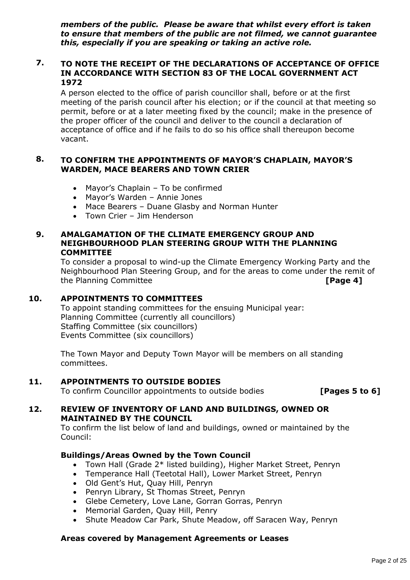*members of the public. Please be aware that whilst every effort is taken to ensure that members of the public are not filmed, we cannot guarantee this, especially if you are speaking or taking an active role.*

#### **7. TO NOTE THE RECEIPT OF THE DECLARATIONS OF ACCEPTANCE OF OFFICE IN ACCORDANCE WITH SECTION 83 OF THE LOCAL GOVERNMENT ACT 1972**

A person elected to the office of parish councillor shall, before or at the first meeting of the parish council after his election; or if the council at that meeting so permit, before or at a later meeting fixed by the council; make in the presence of the proper officer of the council and deliver to the council a declaration of acceptance of office and if he fails to do so his office shall thereupon become vacant.

#### **8. TO CONFIRM THE APPOINTMENTS OF MAYOR'S CHAPLAIN, MAYOR'S WARDEN, MACE BEARERS AND TOWN CRIER**

- Mayor's Chaplain To be confirmed
- Mayor's Warden Annie Jones
- Mace Bearers Duane Glasby and Norman Hunter
- Town Crier Jim Henderson

#### **9. AMALGAMATION OF THE CLIMATE EMERGENCY GROUP AND NEIGHBOURHOOD PLAN STEERING GROUP WITH THE PLANNING COMMITTEE**

To consider a proposal to wind-up the Climate Emergency Working Party and the Neighbourhood Plan Steering Group, and for the areas to come under the remit of the Planning Committee **[Page 4]**

#### **10. APPOINTMENTS TO COMMITTEES**

To appoint standing committees for the ensuing Municipal year: Planning Committee (currently all councillors) Staffing Committee (six councillors) Events Committee (six councillors)

The Town Mayor and Deputy Town Mayor will be members on all standing committees.

#### **11. APPOINTMENTS TO OUTSIDE BODIES**

To confirm Councillor appointments to outside bodies **[Pages 5 to 6]**

#### **12. REVIEW OF INVENTORY OF LAND AND BUILDINGS, OWNED OR MAINTAINED BY THE COUNCIL**

To confirm the list below of land and buildings, owned or maintained by the Council:

#### **Buildings/Areas Owned by the Town Council**

- Town Hall (Grade 2\* listed building), Higher Market Street, Penryn
- Temperance Hall (Teetotal Hall), Lower Market Street, Penryn
- Old Gent's Hut, Quay Hill, Penryn
- Penryn Library, St Thomas Street, Penryn
- Glebe Cemetery, Love Lane, Gorran Gorras, Penryn
- Memorial Garden, Quay Hill, Penry
- Shute Meadow Car Park, Shute Meadow, off Saracen Way, Penryn

#### **Areas covered by Management Agreements or Leases**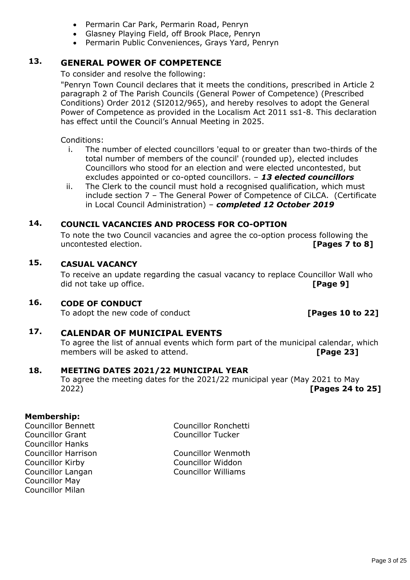- Permarin Car Park, Permarin Road, Penryn
- Glasney Playing Field, off Brook Place, Penryn
- Permarin Public Conveniences, Grays Yard, Penryn

### **13. GENERAL POWER OF COMPETENCE**

To consider and resolve the following:

"Penryn Town Council declares that it meets the conditions, prescribed in Article 2 paragraph 2 of The Parish Councils (General Power of Competence) (Prescribed Conditions) Order 2012 (SI2012/965), and hereby resolves to adopt the General Power of Competence as provided in the Localism Act 2011 ss1-8. This declaration has effect until the Council's Annual Meeting in 2025.

Conditions:

- i. The number of elected councillors 'equal to or greater than two-thirds of the total number of members of the council' (rounded up), elected includes Councillors who stood for an election and were elected uncontested, but excludes appointed or co-opted councillors. – *13 elected councillors*
- ii. The Clerk to the council must hold a recognised qualification, which must include section 7 – The General Power of Competence of CiLCA. (Certificate in Local Council Administration) – *completed 12 October 2019*

### **14. COUNCIL VACANCIES AND PROCESS FOR CO-OPTION**

To note the two Council vacancies and agree the co-option process following the uncontested election. **[Pages 7 to 8]**

#### **15. CASUAL VACANCY**

To receive an update regarding the casual vacancy to replace Councillor Wall who did not take up office. **[Page 9]**

#### **16. CODE OF CONDUCT**

To adopt the new code of conduct *IPages 10 to 221* 

### **17. CALENDAR OF MUNICIPAL EVENTS**

To agree the list of annual events which form part of the municipal calendar, which members will be asked to attend. **[Page 23]** 

#### **18. MEETING DATES 2021/22 MUNICIPAL YEAR**

To agree the meeting dates for the 2021/22 municipal year (May 2021 to May 2022) **[Pages 24 to 25]**

#### **Membership:**

Councillor Grant Councillor Tucker Councillor Hanks Councillor Kirby Councillor Widdon Councillor May Councillor Milan

Councillor Bennett Councillor Ronchetti

Councillor Harrison Councillor Wenmoth Councillor Langan Councillor Williams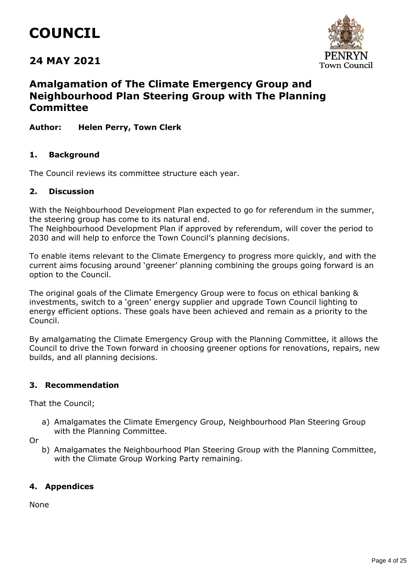# **COUNCIL**

## **24 MAY 2021**



### **Amalgamation of The Climate Emergency Group and Neighbourhood Plan Steering Group with The Planning Committee**

#### **Author: Helen Perry, Town Clerk**

#### **1. Background**

The Council reviews its committee structure each year.

#### **2. Discussion**

With the Neighbourhood Development Plan expected to go for referendum in the summer, the steering group has come to its natural end.

The Neighbourhood Development Plan if approved by referendum, will cover the period to 2030 and will help to enforce the Town Council's planning decisions.

To enable items relevant to the Climate Emergency to progress more quickly, and with the current aims focusing around 'greener' planning combining the groups going forward is an option to the Council.

The original goals of the Climate Emergency Group were to focus on ethical banking & investments, switch to a 'green' energy supplier and upgrade Town Council lighting to energy efficient options. These goals have been achieved and remain as a priority to the Council.

By amalgamating the Climate Emergency Group with the Planning Committee, it allows the Council to drive the Town forward in choosing greener options for renovations, repairs, new builds, and all planning decisions.

#### **3. Recommendation**

That the Council;

a) Amalgamates the Climate Emergency Group, Neighbourhood Plan Steering Group with the Planning Committee.

Or

b) Amalgamates the Neighbourhood Plan Steering Group with the Planning Committee, with the Climate Group Working Party remaining.

#### **4. Appendices**

None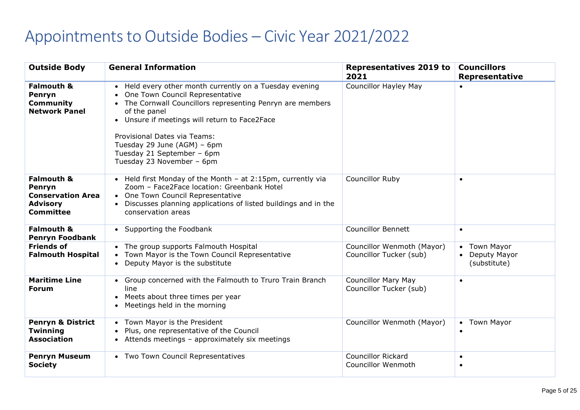# Appointments to Outside Bodies – Civic Year 2021/2022

| <b>Outside Body</b>                                                                                | <b>General Information</b>                                                                                                                                                                                                                                                                                                                          | <b>Representatives 2019 to</b><br>2021                | <b>Councillors</b><br><b>Representative</b>       |
|----------------------------------------------------------------------------------------------------|-----------------------------------------------------------------------------------------------------------------------------------------------------------------------------------------------------------------------------------------------------------------------------------------------------------------------------------------------------|-------------------------------------------------------|---------------------------------------------------|
| <b>Falmouth &amp;</b><br>Penryn<br><b>Community</b><br><b>Network Panel</b>                        | • Held every other month currently on a Tuesday evening<br>One Town Council Representative<br>• The Cornwall Councillors representing Penryn are members<br>of the panel<br>• Unsure if meetings will return to Face2Face<br>Provisional Dates via Teams:<br>Tuesday 29 June (AGM) - 6pm<br>Tuesday 21 September - 6pm<br>Tuesday 23 November - 6pm | <b>Councillor Hayley May</b>                          | $\bullet$                                         |
| <b>Falmouth &amp;</b><br>Penryn<br><b>Conservation Area</b><br><b>Advisory</b><br><b>Committee</b> | • Held first Monday of the Month - at 2:15pm, currently via<br>Zoom - Face2Face location: Greenbank Hotel<br>• One Town Council Representative<br>• Discusses planning applications of listed buildings and in the<br>conservation areas                                                                                                            | <b>Councillor Ruby</b>                                | $\bullet$                                         |
| <b>Falmouth &amp;</b><br><b>Penryn Foodbank</b>                                                    | • Supporting the Foodbank                                                                                                                                                                                                                                                                                                                           | <b>Councillor Bennett</b>                             | $\bullet$                                         |
| <b>Friends of</b><br><b>Falmouth Hospital</b>                                                      | • The group supports Falmouth Hospital<br>• Town Mayor is the Town Council Representative<br>• Deputy Mayor is the substitute                                                                                                                                                                                                                       | Councillor Wenmoth (Mayor)<br>Councillor Tucker (sub) | <b>Town Mayor</b><br>Deputy Mayor<br>(substitute) |
| <b>Maritime Line</b><br><b>Forum</b>                                                               | • Group concerned with the Falmouth to Truro Train Branch<br>line<br>• Meets about three times per year<br>Meetings held in the morning                                                                                                                                                                                                             | <b>Councillor Mary May</b><br>Councillor Tucker (sub) | $\bullet$                                         |
| <b>Penryn &amp; District</b><br><b>Twinning</b><br><b>Association</b>                              | • Town Mayor is the President<br>Plus, one representative of the Council<br>• Attends meetings - approximately six meetings                                                                                                                                                                                                                         | Councillor Wenmoth (Mayor)                            | <b>Town Mayor</b><br>$\bullet$<br>$\bullet$       |
| <b>Penryn Museum</b><br><b>Society</b>                                                             | • Two Town Council Representatives                                                                                                                                                                                                                                                                                                                  | Councillor Rickard<br><b>Councillor Wenmoth</b>       | $\bullet$<br>$\bullet$                            |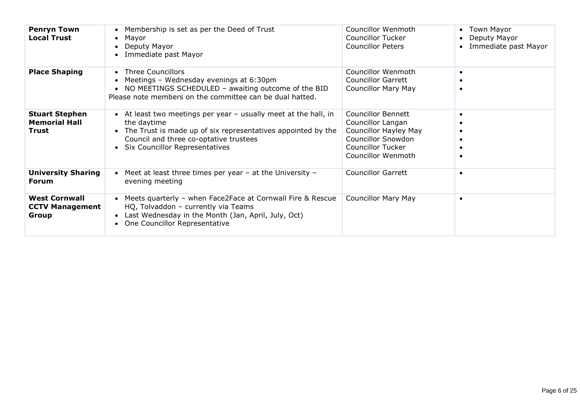| <b>Penryn Town</b><br><b>Local Trust</b>                | Membership is set as per the Deed of Trust<br>Mayor<br>Deputy Mayor<br>Immediate past Mayor                                                                                                                                    | Councillor Wenmoth<br>Councillor Tucker<br><b>Councillor Peters</b>                                                                                           | • Town Mayor<br>Deputy Mayor<br>Immediate past Mayor |
|---------------------------------------------------------|--------------------------------------------------------------------------------------------------------------------------------------------------------------------------------------------------------------------------------|---------------------------------------------------------------------------------------------------------------------------------------------------------------|------------------------------------------------------|
| <b>Place Shaping</b>                                    | • Three Councillors<br>Meetings - Wednesday evenings at 6:30pm<br>NO MEETINGS SCHEDULED - awaiting outcome of the BID<br>Please note members on the committee can be dual hatted.                                              | Councillor Wenmoth<br><b>Councillor Garrett</b><br><b>Councillor Mary May</b>                                                                                 | $\bullet$                                            |
| <b>Stuart Stephen</b><br><b>Memorial Hall</b><br>Trust  | • At least two meetings per year - usually meet at the hall, in<br>the daytime<br>• The Trust is made up of six representatives appointed by the<br>Council and three co-optative trustees<br>• Six Councillor Representatives | <b>Councillor Bennett</b><br>Councillor Langan<br>Councillor Hayley May<br><b>Councillor Snowdon</b><br><b>Councillor Tucker</b><br><b>Councillor Wenmoth</b> |                                                      |
| <b>University Sharing</b><br><b>Forum</b>               | Meet at least three times per year - at the University -<br>evening meeting                                                                                                                                                    | <b>Councillor Garrett</b>                                                                                                                                     | $\bullet$                                            |
| <b>West Cornwall</b><br><b>CCTV Management</b><br>Group | Meets quarterly - when Face2Face at Cornwall Fire & Rescue<br>HQ, Tolvaddon - currently via Teams<br>Last Wednesday in the Month (Jan, April, July, Oct)<br>• One Councillor Representative                                    | <b>Councillor Mary May</b>                                                                                                                                    | $\bullet$                                            |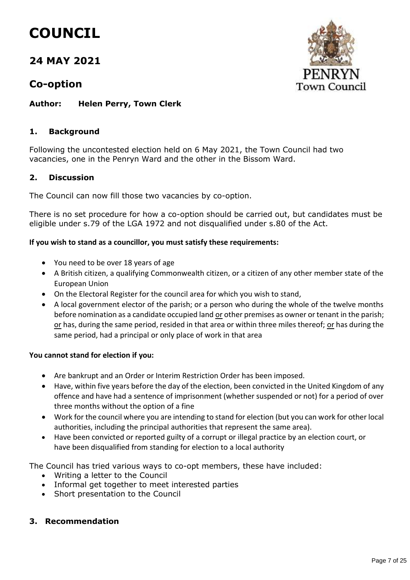# **COUNCIL**

## **24 MAY 2021**

### **Co-option**

#### **Author: Helen Perry, Town Clerk**

#### **1. Background**

Following the uncontested election held on 6 May 2021, the Town Council had two vacancies, one in the Penryn Ward and the other in the Bissom Ward.

#### **2. Discussion**

The Council can now fill those two vacancies by co-option.

There is no set procedure for how a co-option should be carried out, but candidates must be eligible under s.79 of the LGA 1972 and not disqualified under s.80 of the Act.

#### **If you wish to stand as a councillor, you must satisfy these requirements:**

- You need to be over 18 years of age
- A British citizen, a qualifying Commonwealth citizen, or a citizen of any other member state of the European Union
- On the Electoral Register for the council area for which you wish to stand,
- A local government elector of the parish; or a person who during the whole of the twelve months before nomination as a candidate occupied land or other premises as owner or tenant in the parish; or has, during the same period, resided in that area or within three miles thereof; or has during the same period, had a principal or only place of work in that area

#### **You cannot stand for election if you:**

- Are bankrupt and an Order or Interim Restriction Order has been imposed.
- Have, within five years before the day of the election, been convicted in the United Kingdom of any offence and have had a sentence of imprisonment (whether suspended or not) for a period of over three months without the option of a fine
- Work for the council where you are intending to stand for election (but you can work for other local authorities, including the principal authorities that represent the same area).
- Have been convicted or reported guilty of a corrupt or illegal practice by an election court, or have been disqualified from standing for election to a local authority

The Council has tried various ways to co-opt members, these have included:

- Writing a letter to the Council
- Informal get together to meet interested parties
- Short presentation to the Council

#### **3. Recommendation**

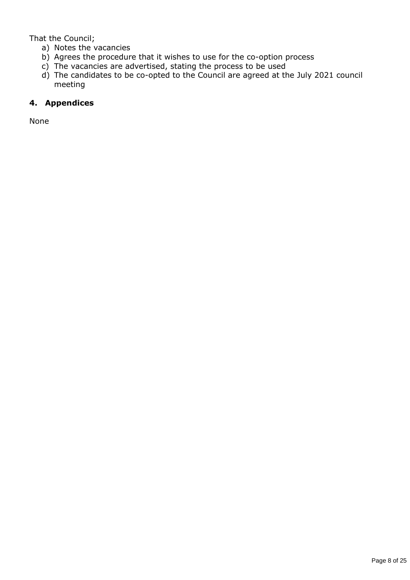That the Council;

- a) Notes the vacancies
- b) Agrees the procedure that it wishes to use for the co-option process
- c) The vacancies are advertised, stating the process to be used
- d) The candidates to be co-opted to the Council are agreed at the July 2021 council meeting

#### **4. Appendices**

None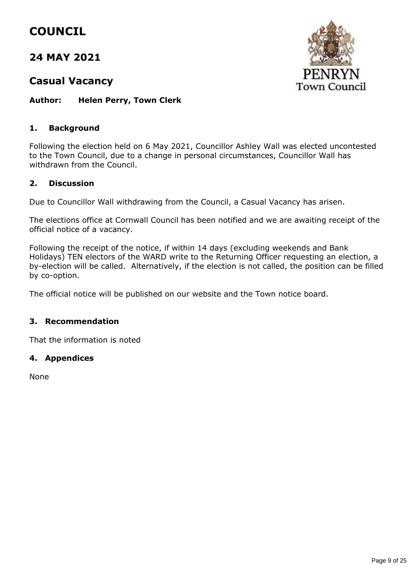# **COUNCIL**

## **24 MAY 2021**

### **Casual Vacancy**



**Author: Helen Perry, Town Clerk**

#### **1. Background**

Following the election held on 6 May 2021, Councillor Ashley Wall was elected uncontested to the Town Council, due to a change in personal circumstances, Councillor Wall has withdrawn from the Council.

#### **2. Discussion**

Due to Councillor Wall withdrawing from the Council, a Casual Vacancy has arisen.

The elections office at Cornwall Council has been notified and we are awaiting receipt of the official notice of a vacancy.

Following the receipt of the notice, if within 14 days (excluding weekends and Bank Holidays) TEN electors of the WARD write to the Returning Officer requesting an election, a by-election will be called. Alternatively, if the election is not called, the position can be filled by co-option.

The official notice will be published on our website and the Town notice board.

#### **3. Recommendation**

That the information is noted

#### **4. Appendices**

None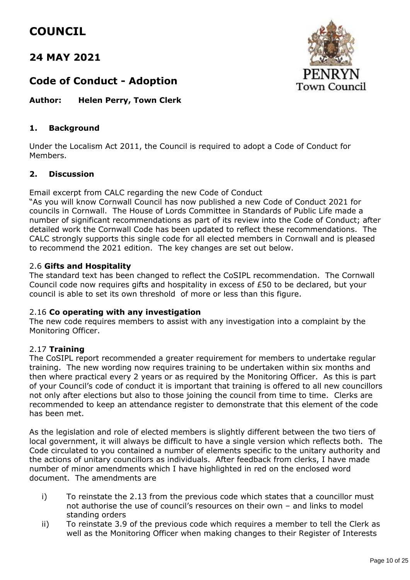# **COUNCIL**

## **24 MAY 2021**



## **Code of Conduct - Adoption**

**Author: Helen Perry, Town Clerk**

#### **1. Background**

Under the Localism Act 2011, the Council is required to adopt a Code of Conduct for Members.

#### **2. Discussion**

Email excerpt from CALC regarding the new Code of Conduct

"As you will know Cornwall Council has now published a new Code of Conduct 2021 for councils in Cornwall. The House of Lords Committee in Standards of Public Life made a number of significant recommendations as part of its review into the Code of Conduct; after detailed work the Cornwall Code has been updated to reflect these recommendations. The CALC strongly supports this single code for all elected members in Cornwall and is pleased to recommend the 2021 edition. The key changes are set out below.

#### 2.6 **Gifts and Hospitality**

The standard text has been changed to reflect the CoSIPL recommendation. The Cornwall Council code now requires gifts and hospitality in excess of £50 to be declared, but your council is able to set its own threshold of more or less than this figure.

#### 2.16 **Co operating with any investigation**

The new code requires members to assist with any investigation into a complaint by the Monitoring Officer.

#### 2.17 **Training**

The CoSIPL report recommended a greater requirement for members to undertake regular training. The new wording now requires training to be undertaken within six months and then where practical every 2 years or as required by the Monitoring Officer. As this is part of your Council's code of conduct it is important that training is offered to all new councillors not only after elections but also to those joining the council from time to time. Clerks are recommended to keep an attendance register to demonstrate that this element of the code has been met.

As the legislation and role of elected members is slightly different between the two tiers of local government, it will always be difficult to have a single version which reflects both. The Code circulated to you contained a number of elements specific to the unitary authority and the actions of unitary councillors as individuals. After feedback from clerks, I have made number of minor amendments which I have highlighted in red on the enclosed word document. The amendments are

- i) To reinstate the 2.13 from the previous code which states that a councillor must not authorise the use of council's resources on their own – and links to model standing orders
- ii) To reinstate 3.9 of the previous code which requires a member to tell the Clerk as well as the Monitoring Officer when making changes to their Register of Interests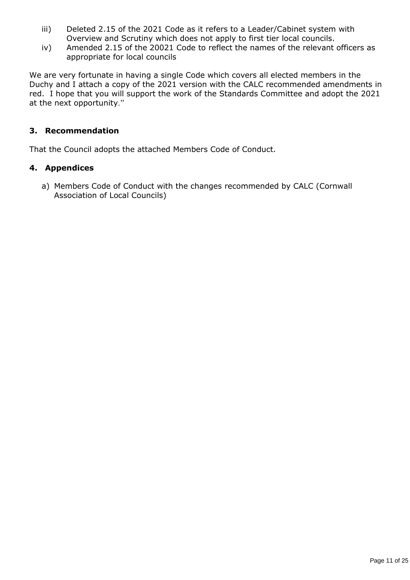- iii) Deleted 2.15 of the 2021 Code as it refers to a Leader/Cabinet system with Overview and Scrutiny which does not apply to first tier local councils.
- iv) Amended 2.15 of the 20021 Code to reflect the names of the relevant officers as appropriate for local councils

We are very fortunate in having a single Code which covers all elected members in the Duchy and I attach a copy of the 2021 version with the CALC recommended amendments in red. I hope that you will support the work of the Standards Committee and adopt the 2021 at the next opportunity."

#### **3. Recommendation**

That the Council adopts the attached Members Code of Conduct.

#### **4. Appendices**

a) Members Code of Conduct with the changes recommended by CALC (Cornwall Association of Local Councils)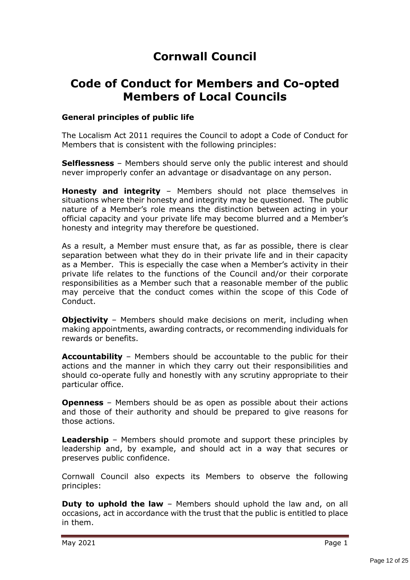# **Cornwall Council**

# **Code of Conduct for Members and Co-opted Members of Local Councils**

#### **General principles of public life**

The Localism Act 2011 requires the Council to adopt a Code of Conduct for Members that is consistent with the following principles:

**Selflessness** – Members should serve only the public interest and should never improperly confer an advantage or disadvantage on any person.

**Honesty and integrity** – Members should not place themselves in situations where their honesty and integrity may be questioned. The public nature of a Member's role means the distinction between acting in your official capacity and your private life may become blurred and a Member's honesty and integrity may therefore be questioned.

As a result, a Member must ensure that, as far as possible, there is clear separation between what they do in their private life and in their capacity as a Member. This is especially the case when a Member's activity in their private life relates to the functions of the Council and/or their corporate responsibilities as a Member such that a reasonable member of the public may perceive that the conduct comes within the scope of this Code of Conduct.

**Objectivity** - Members should make decisions on merit, including when making appointments, awarding contracts, or recommending individuals for rewards or benefits.

**Accountability** – Members should be accountable to the public for their actions and the manner in which they carry out their responsibilities and should co-operate fully and honestly with any scrutiny appropriate to their particular office.

**Openness** – Members should be as open as possible about their actions and those of their authority and should be prepared to give reasons for those actions.

**Leadership** – Members should promote and support these principles by leadership and, by example, and should act in a way that secures or preserves public confidence.

Cornwall Council also expects its Members to observe the following principles:

**Duty to uphold the law** – Members should uphold the law and, on all occasions, act in accordance with the trust that the public is entitled to place in them.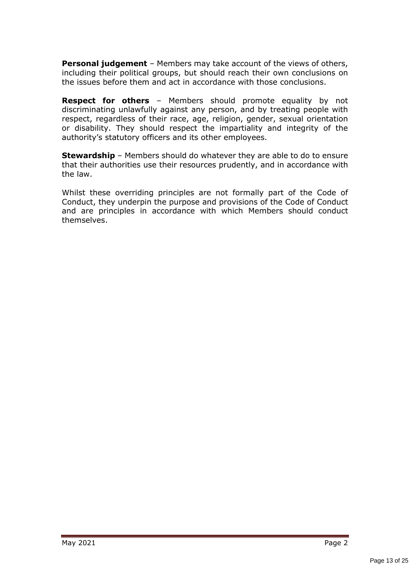**Personal judgement** – Members may take account of the views of others, including their political groups, but should reach their own conclusions on the issues before them and act in accordance with those conclusions.

**Respect for others** – Members should promote equality by not discriminating unlawfully against any person, and by treating people with respect, regardless of their race, age, religion, gender, sexual orientation or disability. They should respect the impartiality and integrity of the authority's statutory officers and its other employees.

**Stewardship** – Members should do whatever they are able to do to ensure that their authorities use their resources prudently, and in accordance with the law.

Whilst these overriding principles are not formally part of the Code of Conduct, they underpin the purpose and provisions of the Code of Conduct and are principles in accordance with which Members should conduct themselves.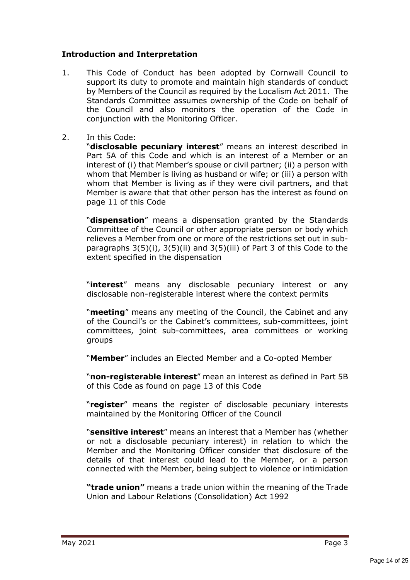#### **Introduction and Interpretation**

- 1. This Code of Conduct has been adopted by Cornwall Council to support its duty to promote and maintain high standards of conduct by Members of the Council as required by the Localism Act 2011. The Standards Committee assumes ownership of the Code on behalf of the Council and also monitors the operation of the Code in conjunction with the Monitoring Officer.
- 2. In this Code:

"**disclosable pecuniary interest**" means an interest described in Part 5A of this Code and which is an interest of a Member or an interest of (i) that Member's spouse or civil partner; (ii) a person with whom that Member is living as husband or wife; or (iii) a person with whom that Member is living as if they were civil partners, and that Member is aware that that other person has the interest as found on page 11 of this Code

"**dispensation**" means a dispensation granted by the Standards Committee of the Council or other appropriate person or body which relieves a Member from one or more of the restrictions set out in subparagraphs 3(5)(i), 3(5)(ii) and 3(5)(iii) of Part 3 of this Code to the extent specified in the dispensation

"**interest**" means any disclosable pecuniary interest or any disclosable non-registerable interest where the context permits

"**meeting**" means any meeting of the Council, the Cabinet and any of the Council's or the Cabinet's committees, sub-committees, joint committees, joint sub-committees, area committees or working groups

"**Member**" includes an Elected Member and a Co-opted Member

"**non-registerable interest**" mean an interest as defined in Part 5B of this Code as found on page 13 of this Code

"**register**" means the register of disclosable pecuniary interests maintained by the Monitoring Officer of the Council

"**sensitive interest**" means an interest that a Member has (whether or not a disclosable pecuniary interest) in relation to which the Member and the Monitoring Officer consider that disclosure of the details of that interest could lead to the Member, or a person connected with the Member, being subject to violence or intimidation

**"trade union"** means a trade union within the meaning of the Trade Union and Labour Relations (Consolidation) Act 1992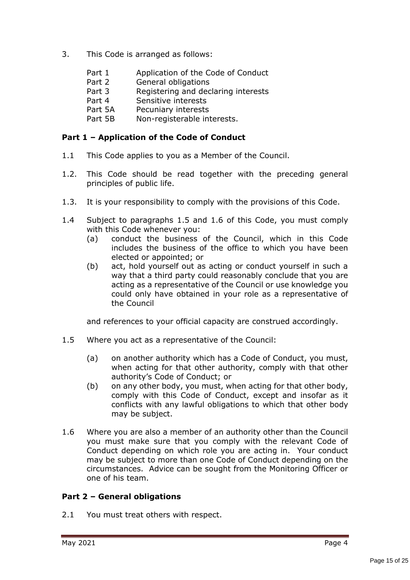- 3. This Code is arranged as follows:
	- Part 1 Application of the Code of Conduct
	- Part 2 General obligations
	- Part 3 Registering and declaring interests
	- Part 4 Sensitive interests
	- Part 5A Pecuniary interests
	- Part 5B Non-registerable interests.

#### **Part 1 – Application of the Code of Conduct**

- 1.1 This Code applies to you as a Member of the Council.
- 1.2. This Code should be read together with the preceding general principles of public life.
- 1.3. It is your responsibility to comply with the provisions of this Code.
- 1.4 Subject to paragraphs 1.5 and 1.6 of this Code, you must comply with this Code whenever you:
	- (a) conduct the business of the Council, which in this Code includes the business of the office to which you have been elected or appointed; or
	- (b) act, hold yourself out as acting or conduct yourself in such a way that a third party could reasonably conclude that you are acting as a representative of the Council or use knowledge you could only have obtained in your role as a representative of the Council

and references to your official capacity are construed accordingly.

- 1.5 Where you act as a representative of the Council:
	- (a) on another authority which has a Code of Conduct, you must, when acting for that other authority, comply with that other authority's Code of Conduct; or
	- (b) on any other body, you must, when acting for that other body, comply with this Code of Conduct, except and insofar as it conflicts with any lawful obligations to which that other body may be subject.
- 1.6 Where you are also a member of an authority other than the Council you must make sure that you comply with the relevant Code of Conduct depending on which role you are acting in. Your conduct may be subject to more than one Code of Conduct depending on the circumstances. Advice can be sought from the Monitoring Officer or one of his team.

#### **Part 2 – General obligations**

2.1 You must treat others with respect.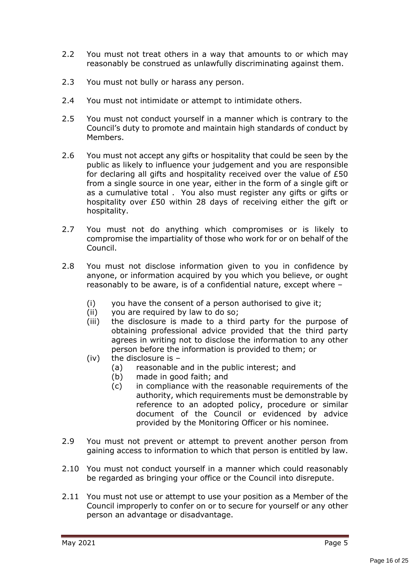- 2.2 You must not treat others in a way that amounts to or which may reasonably be construed as unlawfully discriminating against them.
- 2.3 You must not bully or harass any person.
- 2.4 You must not intimidate or attempt to intimidate others.
- 2.5 You must not conduct yourself in a manner which is contrary to the Council's duty to promote and maintain high standards of conduct by Members.
- 2.6 You must not accept any gifts or hospitality that could be seen by the public as likely to influence your judgement and you are responsible for declaring all gifts and hospitality received over the value of £50 from a single source in one year, either in the form of a single gift or as a cumulative total . You also must register any gifts or gifts or hospitality over £50 within 28 days of receiving either the gift or hospitality.
- 2.7 You must not do anything which compromises or is likely to compromise the impartiality of those who work for or on behalf of the Council.
- 2.8 You must not disclose information given to you in confidence by anyone, or information acquired by you which you believe, or ought reasonably to be aware, is of a confidential nature, except where –
	- (i) you have the consent of a person authorised to give it;
	- (ii) you are required by law to do so;
	- (iii) the disclosure is made to a third party for the purpose of obtaining professional advice provided that the third party agrees in writing not to disclose the information to any other person before the information is provided to them; or
	- (iv) the disclosure is
		- (a) reasonable and in the public interest; and
		- (b) made in good faith; and
		- (c) in compliance with the reasonable requirements of the authority, which requirements must be demonstrable by reference to an adopted policy, procedure or similar document of the Council or evidenced by advice provided by the Monitoring Officer or his nominee.
- 2.9 You must not prevent or attempt to prevent another person from gaining access to information to which that person is entitled by law.
- 2.10 You must not conduct yourself in a manner which could reasonably be regarded as bringing your office or the Council into disrepute.
- 2.11 You must not use or attempt to use your position as a Member of the Council improperly to confer on or to secure for yourself or any other person an advantage or disadvantage.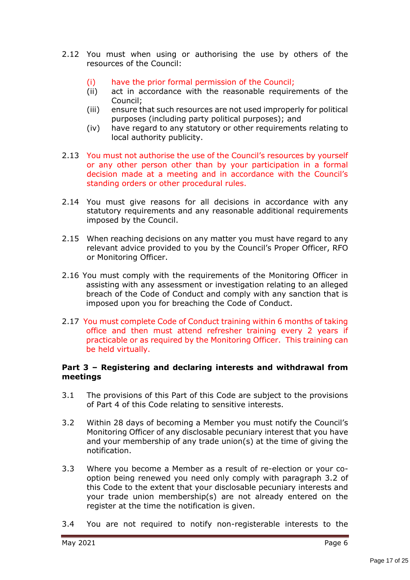- 2.12 You must when using or authorising the use by others of the resources of the Council:
	- (i) have the prior formal permission of the Council;
	- (ii) act in accordance with the reasonable requirements of the Council;
	- (iii) ensure that such resources are not used improperly for political purposes (including party political purposes); and
	- (iv) have regard to any statutory or other requirements relating to local authority publicity.
- 2.13 You must not authorise the use of the Council's resources by yourself or any other person other than by your participation in a formal decision made at a meeting and in accordance with the Council's standing orders or other procedural rules.
- 2.14 You must give reasons for all decisions in accordance with any statutory requirements and any reasonable additional requirements imposed by the Council.
- 2.15 When reaching decisions on any matter you must have regard to any relevant advice provided to you by the Council's Proper Officer, RFO or Monitoring Officer.
- 2.16 You must comply with the requirements of the Monitoring Officer in assisting with any assessment or investigation relating to an alleged breach of the Code of Conduct and comply with any sanction that is imposed upon you for breaching the Code of Conduct.
- 2.17 You must complete Code of Conduct training within 6 months of taking office and then must attend refresher training every 2 years if practicable or as required by the Monitoring Officer. This training can be held virtually.

#### **Part 3 – Registering and declaring interests and withdrawal from meetings**

- 3.1 The provisions of this Part of this Code are subject to the provisions of Part 4 of this Code relating to sensitive interests.
- 3.2 Within 28 days of becoming a Member you must notify the Council's Monitoring Officer of any disclosable pecuniary interest that you have and your membership of any trade union(s) at the time of giving the notification.
- 3.3 Where you become a Member as a result of re-election or your cooption being renewed you need only comply with paragraph 3.2 of this Code to the extent that your disclosable pecuniary interests and your trade union membership(s) are not already entered on the register at the time the notification is given.
- 3.4 You are not required to notify non-registerable interests to the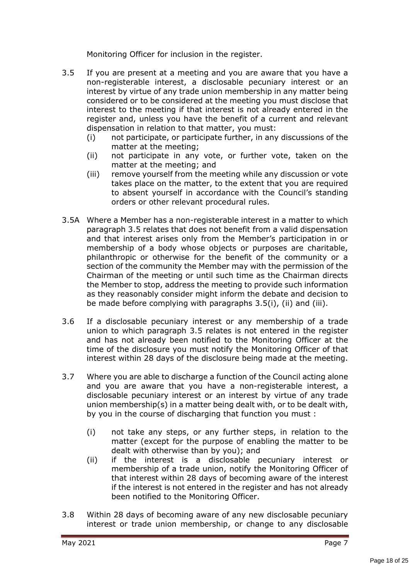Monitoring Officer for inclusion in the register.

- 3.5 If you are present at a meeting and you are aware that you have a non-registerable interest, a disclosable pecuniary interest or an interest by virtue of any trade union membership in any matter being considered or to be considered at the meeting you must disclose that interest to the meeting if that interest is not already entered in the register and, unless you have the benefit of a current and relevant dispensation in relation to that matter, you must:
	- (i) not participate, or participate further, in any discussions of the matter at the meeting;
	- (ii) not participate in any vote, or further vote, taken on the matter at the meeting; and
	- (iii) remove yourself from the meeting while any discussion or vote takes place on the matter, to the extent that you are required to absent yourself in accordance with the Council's standing orders or other relevant procedural rules.
- 3.5A Where a Member has a non-registerable interest in a matter to which paragraph 3.5 relates that does not benefit from a valid dispensation and that interest arises only from the Member's participation in or membership of a body whose objects or purposes are charitable, philanthropic or otherwise for the benefit of the community or a section of the community the Member may with the permission of the Chairman of the meeting or until such time as the Chairman directs the Member to stop, address the meeting to provide such information as they reasonably consider might inform the debate and decision to be made before complying with paragraphs 3.5(i), (ii) and (iii).
- 3.6 If a disclosable pecuniary interest or any membership of a trade union to which paragraph 3.5 relates is not entered in the register and has not already been notified to the Monitoring Officer at the time of the disclosure you must notify the Monitoring Officer of that interest within 28 days of the disclosure being made at the meeting.
- 3.7 Where you are able to discharge a function of the Council acting alone and you are aware that you have a non-registerable interest, a disclosable pecuniary interest or an interest by virtue of any trade union membership(s) in a matter being dealt with, or to be dealt with, by you in the course of discharging that function you must :
	- (i) not take any steps, or any further steps, in relation to the matter (except for the purpose of enabling the matter to be dealt with otherwise than by you); and
	- (ii) if the interest is a disclosable pecuniary interest or membership of a trade union, notify the Monitoring Officer of that interest within 28 days of becoming aware of the interest if the interest is not entered in the register and has not already been notified to the Monitoring Officer.
- 3.8 Within 28 days of becoming aware of any new disclosable pecuniary interest or trade union membership, or change to any disclosable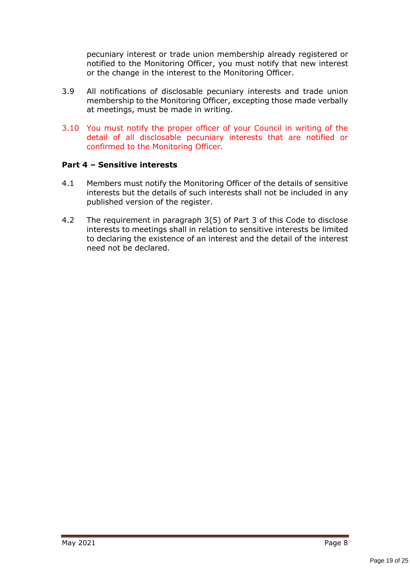pecuniary interest or trade union membership already registered or notified to the Monitoring Officer, you must notify that new interest or the change in the interest to the Monitoring Officer.

- 3.9 All notifications of disclosable pecuniary interests and trade union membership to the Monitoring Officer, excepting those made verbally at meetings, must be made in writing.
- 3.10 You must notify the proper officer of your Council in writing of the detail of all disclosable pecuniary interests that are notified or confirmed to the Monitoring Officer.

#### **Part 4 – Sensitive interests**

- 4.1 Members must notify the Monitoring Officer of the details of sensitive interests but the details of such interests shall not be included in any published version of the register.
- 4.2 The requirement in paragraph 3(5) of Part 3 of this Code to disclose interests to meetings shall in relation to sensitive interests be limited to declaring the existence of an interest and the detail of the interest need not be declared.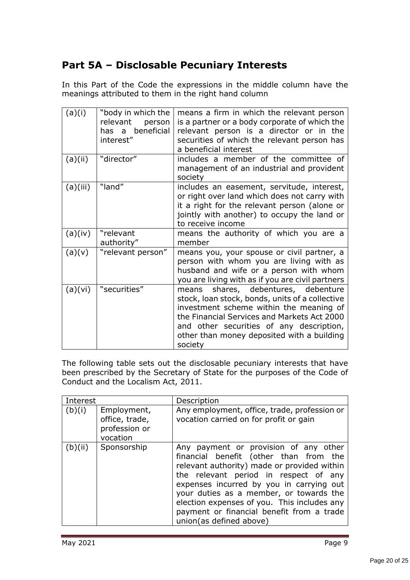# **Part 5A – Disclosable Pecuniary Interests**

In this Part of the Code the expressions in the middle column have the meanings attributed to them in the right hand column

| (a)(i)   | "body in which the<br>relevant<br>person<br>has a beneficial<br>interest" | means a firm in which the relevant person<br>is a partner or a body corporate of which the<br>relevant person is a director or in the<br>securities of which the relevant person has<br>a beneficial interest                                                                            |
|----------|---------------------------------------------------------------------------|------------------------------------------------------------------------------------------------------------------------------------------------------------------------------------------------------------------------------------------------------------------------------------------|
| (a)(ii)  | "director"                                                                | includes a member of the committee of<br>management of an industrial and provident<br>society                                                                                                                                                                                            |
| (a)(iii) | "land"                                                                    | includes an easement, servitude, interest,<br>or right over land which does not carry with<br>it a right for the relevant person (alone or<br>jointly with another) to occupy the land or<br>to receive income                                                                           |
| (a)(iv)  | "relevant<br>authority"                                                   | means the authority of which you are a<br>member                                                                                                                                                                                                                                         |
| (a)(v)   | "relevant person"                                                         | means you, your spouse or civil partner, a<br>person with whom you are living with as<br>husband and wife or a person with whom<br>you are living with as if you are civil partners                                                                                                      |
| (a)(vi)  | "securities"                                                              | shares, debentures, debenture<br>means<br>stock, loan stock, bonds, units of a collective<br>investment scheme within the meaning of<br>the Financial Services and Markets Act 2000<br>and other securities of any description,<br>other than money deposited with a building<br>society |

The following table sets out the disclosable pecuniary interests that have been prescribed by the Secretary of State for the purposes of the Code of Conduct and the Localism Act, 2011.

| Interest |                                                            | Description                                                                                                                                                                                                                                                                                                                                                                           |
|----------|------------------------------------------------------------|---------------------------------------------------------------------------------------------------------------------------------------------------------------------------------------------------------------------------------------------------------------------------------------------------------------------------------------------------------------------------------------|
| (b)(i)   | Employment,<br>office, trade,<br>profession or<br>vocation | Any employment, office, trade, profession or<br>vocation carried on for profit or gain                                                                                                                                                                                                                                                                                                |
| (b)(ii)  | Sponsorship                                                | Any payment or provision of any other<br>financial benefit (other than from the<br>relevant authority) made or provided within<br>the relevant period in respect of any<br>expenses incurred by you in carrying out<br>your duties as a member, or towards the<br>election expenses of you. This includes any<br>payment or financial benefit from a trade<br>union(as defined above) |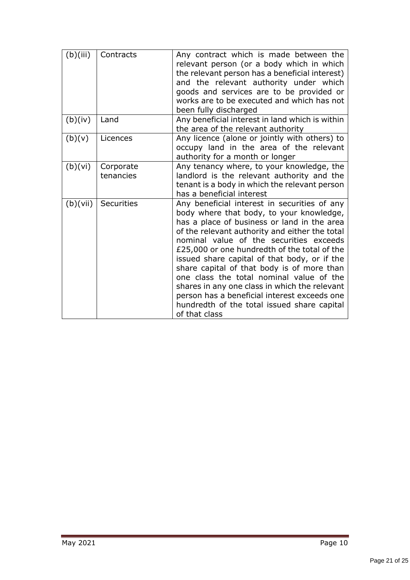| (b)(iii) | Contracts              | Any contract which is made between the<br>relevant person (or a body which in which<br>the relevant person has a beneficial interest)<br>and the relevant authority under which<br>goods and services are to be provided or<br>works are to be executed and which has not<br>been fully discharged                                                                                                                                                                                                                                                                                              |
|----------|------------------------|-------------------------------------------------------------------------------------------------------------------------------------------------------------------------------------------------------------------------------------------------------------------------------------------------------------------------------------------------------------------------------------------------------------------------------------------------------------------------------------------------------------------------------------------------------------------------------------------------|
| (b)(iv)  | Land                   | Any beneficial interest in land which is within<br>the area of the relevant authority                                                                                                                                                                                                                                                                                                                                                                                                                                                                                                           |
| (b)(v)   | Licences               | Any licence (alone or jointly with others) to<br>occupy land in the area of the relevant<br>authority for a month or longer                                                                                                                                                                                                                                                                                                                                                                                                                                                                     |
| (b)(vi)  | Corporate<br>tenancies | Any tenancy where, to your knowledge, the<br>landlord is the relevant authority and the<br>tenant is a body in which the relevant person<br>has a beneficial interest                                                                                                                                                                                                                                                                                                                                                                                                                           |
| (b)(vii) | Securities             | Any beneficial interest in securities of any<br>body where that body, to your knowledge,<br>has a place of business or land in the area<br>of the relevant authority and either the total<br>nominal value of the securities exceeds<br>£25,000 or one hundredth of the total of the<br>issued share capital of that body, or if the<br>share capital of that body is of more than<br>one class the total nominal value of the<br>shares in any one class in which the relevant<br>person has a beneficial interest exceeds one<br>hundredth of the total issued share capital<br>of that class |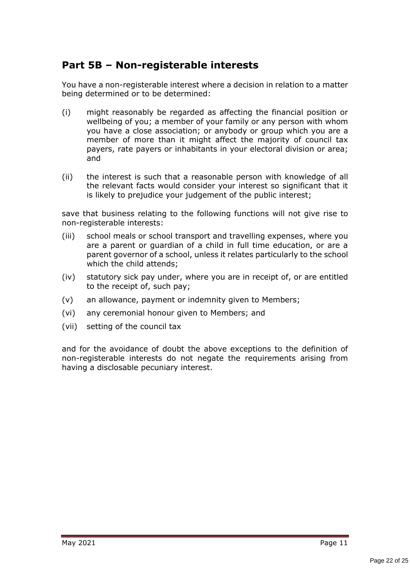# **Part 5B – Non-registerable interests**

You have a non-registerable interest where a decision in relation to a matter being determined or to be determined:

- (i) might reasonably be regarded as affecting the financial position or wellbeing of you; a member of your family or any person with whom you have a close association; or anybody or group which you are a member of more than it might affect the majority of council tax payers, rate payers or inhabitants in your electoral division or area; and
- (ii) the interest is such that a reasonable person with knowledge of all the relevant facts would consider your interest so significant that it is likely to prejudice your judgement of the public interest;

save that business relating to the following functions will not give rise to non-registerable interests:

- (iii) school meals or school transport and travelling expenses, where you are a parent or guardian of a child in full time education, or are a parent governor of a school, unless it relates particularly to the school which the child attends;
- (iv) statutory sick pay under, where you are in receipt of, or are entitled to the receipt of, such pay;
- (v) an allowance, payment or indemnity given to Members;
- (vi) any ceremonial honour given to Members; and
- (vii) setting of the council tax

and for the avoidance of doubt the above exceptions to the definition of non-registerable interests do not negate the requirements arising from having a disclosable pecuniary interest.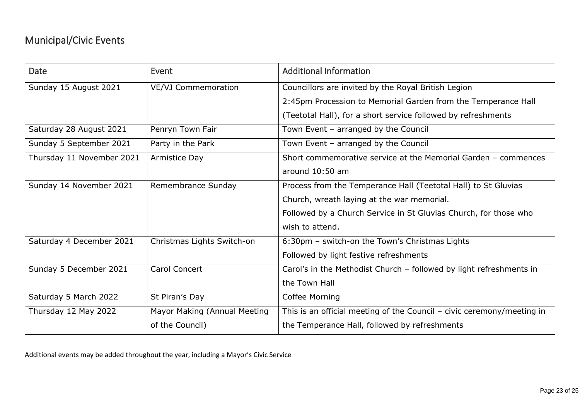# Municipal/Civic Events

| Date                      | Event                        | <b>Additional Information</b>                                            |
|---------------------------|------------------------------|--------------------------------------------------------------------------|
| Sunday 15 August 2021     | <b>VE/VJ Commemoration</b>   | Councillors are invited by the Royal British Legion                      |
|                           |                              | 2:45pm Procession to Memorial Garden from the Temperance Hall            |
|                           |                              | (Teetotal Hall), for a short service followed by refreshments            |
| Saturday 28 August 2021   | Penryn Town Fair             | Town Event - arranged by the Council                                     |
| Sunday 5 September 2021   | Party in the Park            | Town Event - arranged by the Council                                     |
| Thursday 11 November 2021 | Armistice Day                | Short commemorative service at the Memorial Garden - commences           |
|                           |                              | around 10:50 am                                                          |
| Sunday 14 November 2021   | Remembrance Sunday           | Process from the Temperance Hall (Teetotal Hall) to St Gluvias           |
|                           |                              | Church, wreath laying at the war memorial.                               |
|                           |                              | Followed by a Church Service in St Gluvias Church, for those who         |
|                           |                              | wish to attend.                                                          |
| Saturday 4 December 2021  | Christmas Lights Switch-on   | 6:30pm - switch-on the Town's Christmas Lights                           |
|                           |                              | Followed by light festive refreshments                                   |
| Sunday 5 December 2021    | <b>Carol Concert</b>         | Carol's in the Methodist Church - followed by light refreshments in      |
|                           |                              | the Town Hall                                                            |
| Saturday 5 March 2022     | St Piran's Day               | Coffee Morning                                                           |
| Thursday 12 May 2022      | Mayor Making (Annual Meeting | This is an official meeting of the Council $-$ civic ceremony/meeting in |
|                           | of the Council)              | the Temperance Hall, followed by refreshments                            |

Additional events may be added throughout the year, including a Mayor's Civic Service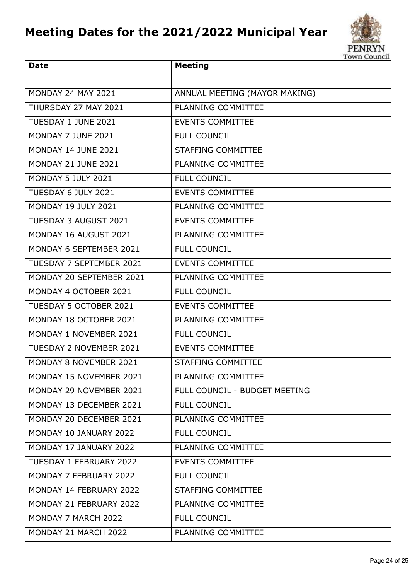# **Meeting Dates for the 2021/2022 Municipal Year**



| <b>Date</b>                    | <b>Meeting</b>                |
|--------------------------------|-------------------------------|
| <b>MONDAY 24 MAY 2021</b>      | ANNUAL MEETING (MAYOR MAKING) |
| THURSDAY 27 MAY 2021           | PLANNING COMMITTEE            |
| TUESDAY 1 JUNE 2021            | <b>EVENTS COMMITTEE</b>       |
| MONDAY 7 JUNE 2021             | <b>FULL COUNCIL</b>           |
| <b>MONDAY 14 JUNE 2021</b>     | <b>STAFFING COMMITTEE</b>     |
| <b>MONDAY 21 JUNE 2021</b>     | PLANNING COMMITTEE            |
| MONDAY 5 JULY 2021             | <b>FULL COUNCIL</b>           |
| TUESDAY 6 JULY 2021            | <b>EVENTS COMMITTEE</b>       |
| <b>MONDAY 19 JULY 2021</b>     | PLANNING COMMITTEE            |
| <b>TUESDAY 3 AUGUST 2021</b>   | <b>EVENTS COMMITTEE</b>       |
| MONDAY 16 AUGUST 2021          | PLANNING COMMITTEE            |
| MONDAY 6 SEPTEMBER 2021        | <b>FULL COUNCIL</b>           |
| TUESDAY 7 SEPTEMBER 2021       | <b>EVENTS COMMITTEE</b>       |
| MONDAY 20 SEPTEMBER 2021       | PLANNING COMMITTEE            |
| MONDAY 4 OCTOBER 2021          | <b>FULL COUNCIL</b>           |
| <b>TUESDAY 5 OCTOBER 2021</b>  | <b>EVENTS COMMITTEE</b>       |
| MONDAY 18 OCTOBER 2021         | PLANNING COMMITTEE            |
| MONDAY 1 NOVEMBER 2021         | <b>FULL COUNCIL</b>           |
| <b>TUESDAY 2 NOVEMBER 2021</b> | <b>EVENTS COMMITTEE</b>       |
| MONDAY 8 NOVEMBER 2021         | STAFFING COMMITTEE            |
| MONDAY 15 NOVEMBER 2021        | <b>PLANNING COMMITTEE</b>     |
| MONDAY 29 NOVEMBER 2021        | FULL COUNCIL - BUDGET MEETING |
| MONDAY 13 DECEMBER 2021        | <b>FULL COUNCIL</b>           |
| MONDAY 20 DECEMBER 2021        | PLANNING COMMITTEE            |
| MONDAY 10 JANUARY 2022         | <b>FULL COUNCIL</b>           |
| MONDAY 17 JANUARY 2022         | PLANNING COMMITTEE            |
| <b>TUESDAY 1 FEBRUARY 2022</b> | <b>EVENTS COMMITTEE</b>       |
| MONDAY 7 FEBRUARY 2022         | <b>FULL COUNCIL</b>           |
| MONDAY 14 FEBRUARY 2022        | STAFFING COMMITTEE            |
| MONDAY 21 FEBRUARY 2022        | PLANNING COMMITTEE            |
| MONDAY 7 MARCH 2022            | <b>FULL COUNCIL</b>           |
| MONDAY 21 MARCH 2022           | PLANNING COMMITTEE            |